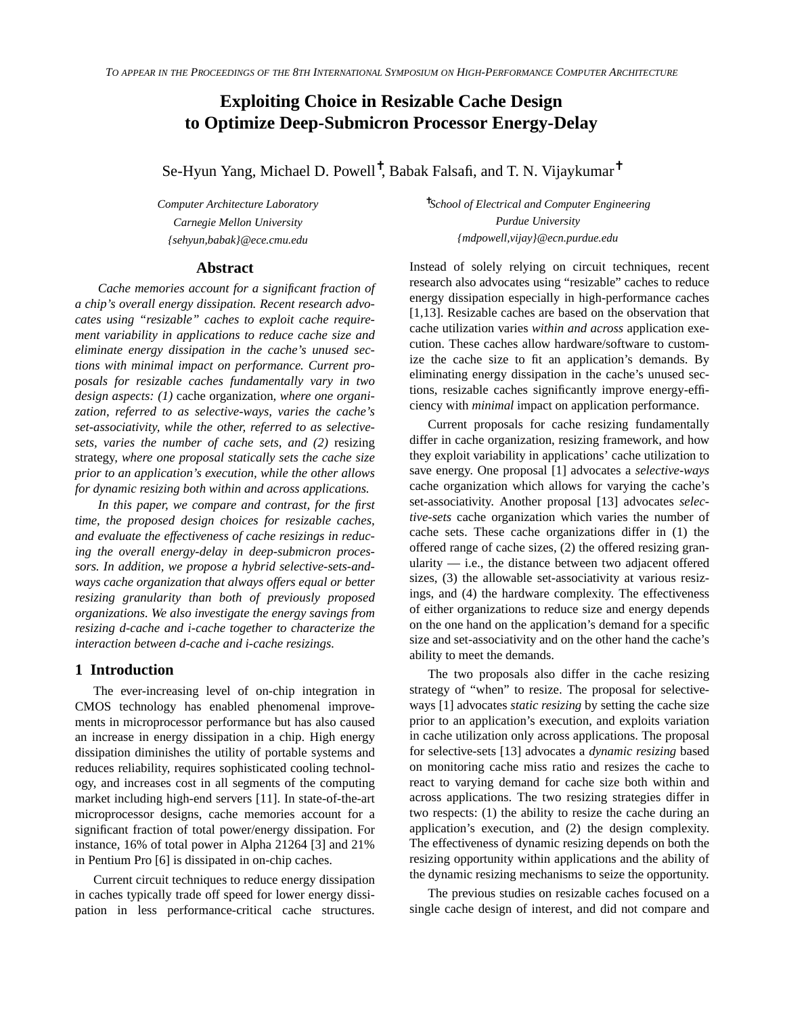# **Exploiting Choice in Resizable Cache Design to Optimize Deep-Submicron Processor Energy-Delay**

Se-Hyun Yang, Michael D. Powell<sup>†</sup>, Babak Falsafi, and T. N. Vijaykumar<sup>†</sup>

*Computer Architecture Laboratory Carnegie Mellon University {sehyun,babak}@ece.cmu.edu*

# **Abstract**

*Cache memories account for a significant fraction of a chip's overall energy dissipation. Recent research advocates using "resizable" caches to exploit cache requirement variability in applications to reduce cache size and eliminate energy dissipation in the cache's unused sections with minimal impact on performance. Current proposals for resizable caches fundamentally vary in two design aspects: (1)* cache organization*, where one organization, referred to as selective-ways, varies the cache's set-associativity, while the other, referred to as selectivesets, varies the number of cache sets, and (2)* resizing strategy*, where one proposal statically sets the cache size prior to an application's execution, while the other allows for dynamic resizing both within and across applications.*

*In this paper, we compare and contrast, for the first time, the proposed design choices for resizable caches, and evaluate the effectiveness of cache resizings in reducing the overall energy-delay in deep-submicron processors. In addition, we propose a hybrid selective-sets-andways cache organization that always offers equal or better resizing granularity than both of previously proposed organizations. We also investigate the energy savings from resizing d-cache and i-cache together to characterize the interaction between d-cache and i-cache resizings.*

### **1 Introduction**

The ever-increasing level of on-chip integration in CMOS technology has enabled phenomenal improvements in microprocessor performance but has also caused an increase in energy dissipation in a chip. High energy dissipation diminishes the utility of portable systems and reduces reliability, requires sophisticated cooling technology, and increases cost in all segments of the computing market including high-end servers [11]. In state-of-the-art microprocessor designs, cache memories account for a significant fraction of total power/energy dissipation. For instance, 16% of total power in Alpha 21264 [3] and 21% in Pentium Pro [6] is dissipated in on-chip caches.

Current circuit techniques to reduce energy dissipation in caches typically trade off speed for lower energy dissipation in less performance-critical cache structures. ✝ *School of Electrical and Computer Engineering Purdue University {mdpowell,vijay}@ecn.purdue.edu*

Instead of solely relying on circuit techniques, recent research also advocates using "resizable" caches to reduce energy dissipation especially in high-performance caches [1,13]. Resizable caches are based on the observation that cache utilization varies *within and across* application execution. These caches allow hardware/software to customize the cache size to fit an application's demands. By eliminating energy dissipation in the cache's unused sections, resizable caches significantly improve energy-efficiency with *minimal* impact on application performance.

Current proposals for cache resizing fundamentally differ in cache organization, resizing framework, and how they exploit variability in applications' cache utilization to save energy. One proposal [1] advocates a *selective-ways* cache organization which allows for varying the cache's set-associativity. Another proposal [13] advocates *selective-sets* cache organization which varies the number of cache sets. These cache organizations differ in (1) the offered range of cache sizes, (2) the offered resizing granularity — i.e., the distance between two adjacent offered sizes, (3) the allowable set-associativity at various resizings, and (4) the hardware complexity. The effectiveness of either organizations to reduce size and energy depends on the one hand on the application's demand for a specific size and set-associativity and on the other hand the cache's ability to meet the demands.

The two proposals also differ in the cache resizing strategy of "when" to resize. The proposal for selectiveways [1] advocates *static resizing* by setting the cache size prior to an application's execution, and exploits variation in cache utilization only across applications. The proposal for selective-sets [13] advocates a *dynamic resizing* based on monitoring cache miss ratio and resizes the cache to react to varying demand for cache size both within and across applications. The two resizing strategies differ in two respects: (1) the ability to resize the cache during an application's execution, and (2) the design complexity. The effectiveness of dynamic resizing depends on both the resizing opportunity within applications and the ability of the dynamic resizing mechanisms to seize the opportunity.

The previous studies on resizable caches focused on a single cache design of interest, and did not compare and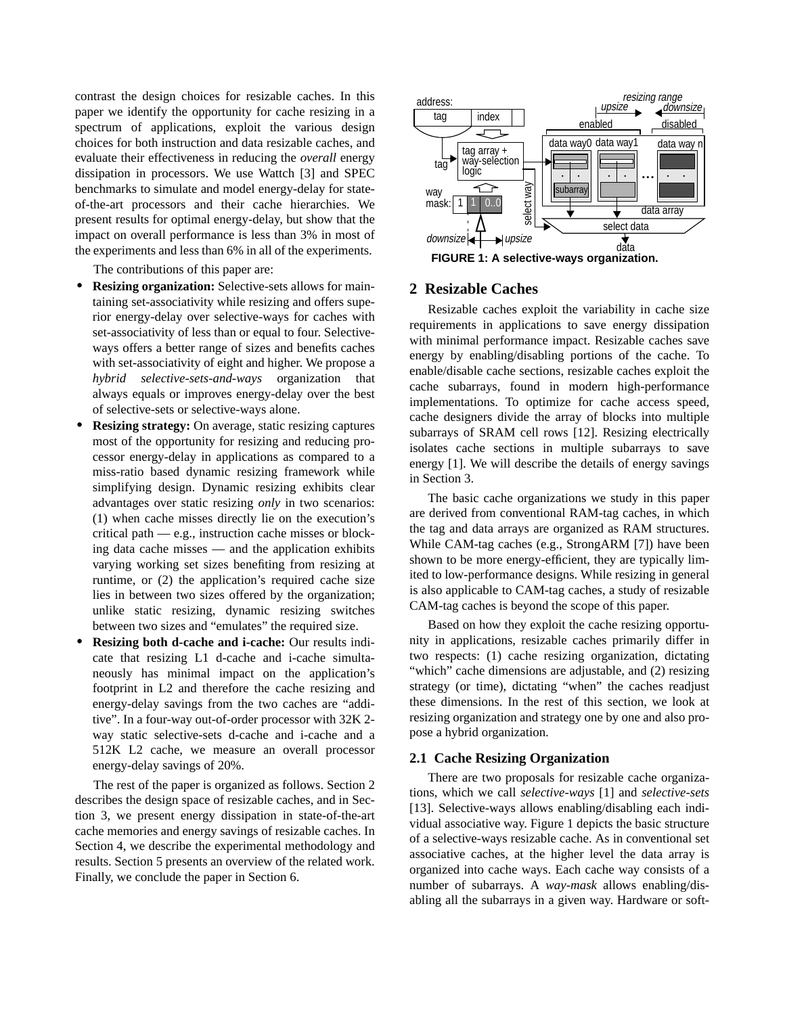contrast the design choices for resizable caches. In this paper we identify the opportunity for cache resizing in a spectrum of applications, exploit the various design choices for both instruction and data resizable caches, and evaluate their effectiveness in reducing the *overall* energy dissipation in processors. We use Wattch [3] and SPEC benchmarks to simulate and model energy-delay for stateof-the-art processors and their cache hierarchies. We present results for optimal energy-delay, but show that the impact on overall performance is less than 3% in most of the experiments and less than 6% in all of the experiments.

The contributions of this paper are:

- **• Resizing organization:** Selective-sets allows for maintaining set-associativity while resizing and offers superior energy-delay over selective-ways for caches with set-associativity of less than or equal to four. Selectiveways offers a better range of sizes and benefits caches with set-associativity of eight and higher. We propose a *hybrid selective-sets-and-ways* organization that always equals or improves energy-delay over the best of selective-sets or selective-ways alone.
- **Resizing strategy:** On average, static resizing captures most of the opportunity for resizing and reducing processor energy-delay in applications as compared to a miss-ratio based dynamic resizing framework while simplifying design. Dynamic resizing exhibits clear advantages over static resizing *only* in two scenarios: (1) when cache misses directly lie on the execution's critical path — e.g., instruction cache misses or blocking data cache misses — and the application exhibits varying working set sizes benefiting from resizing at runtime, or (2) the application's required cache size lies in between two sizes offered by the organization; unlike static resizing, dynamic resizing switches between two sizes and "emulates" the required size.
- **• Resizing both d-cache and i-cache:** Our results indicate that resizing L1 d-cache and i-cache simultaneously has minimal impact on the application's footprint in L2 and therefore the cache resizing and energy-delay savings from the two caches are "additive". In a four-way out-of-order processor with 32K 2 way static selective-sets d-cache and i-cache and a 512K L2 cache, we measure an overall processor energy-delay savings of 20%.

The rest of the paper is organized as follows. [Section 2](#page-1-0) describes the design space of resizable caches, and in Section 3, we present energy dissipation in state-of-the-art cache memories and energy savings of resizable caches. In [Section 4](#page-4-0), we describe the experimental methodology and results. [Section 5](#page-9-0) presents an overview of the related work. Finally, we conclude the paper in [Section 6](#page-10-0).



### <span id="page-1-1"></span><span id="page-1-0"></span>**2 Resizable Caches**

Resizable caches exploit the variability in cache size requirements in applications to save energy dissipation with minimal performance impact. Resizable caches save energy by enabling/disabling portions of the cache. To enable/disable cache sections, resizable caches exploit the cache subarrays, found in modern high-performance implementations. To optimize for cache access speed, cache designers divide the array of blocks into multiple subarrays of SRAM cell rows [12]. Resizing electrically isolates cache sections in multiple subarrays to save energy [1]. We will describe the details of energy savings in [Section 3](#page-3-0).

The basic cache organizations we study in this paper are derived from conventional RAM-tag caches, in which the tag and data arrays are organized as RAM structures. While CAM-tag caches (e.g., StrongARM [7]) have been shown to be more energy-efficient, they are typically limited to low-performance designs. While resizing in general is also applicable to CAM-tag caches, a study of resizable CAM-tag caches is beyond the scope of this paper.

Based on how they exploit the cache resizing opportunity in applications, resizable caches primarily differ in two respects: (1) cache resizing organization, dictating "which" cache dimensions are adjustable, and (2) resizing strategy (or time), dictating "when" the caches readjust these dimensions. In the rest of this section, we look at resizing organization and strategy one by one and also propose a hybrid organization.

### <span id="page-1-2"></span>**2.1 Cache Resizing Organization**

There are two proposals for resizable cache organizations, which we call *selective-ways* [1] and *selective-sets* [13]. Selective-ways allows enabling/disabling each individual associative way. [Figure 1](#page-1-1) depicts the basic structure of a selective-ways resizable cache. As in conventional set associative caches, at the higher level the data array is organized into cache ways. Each cache way consists of a number of subarrays. A *way-mask* allows enabling/disabling all the subarrays in a given way. Hardware or soft-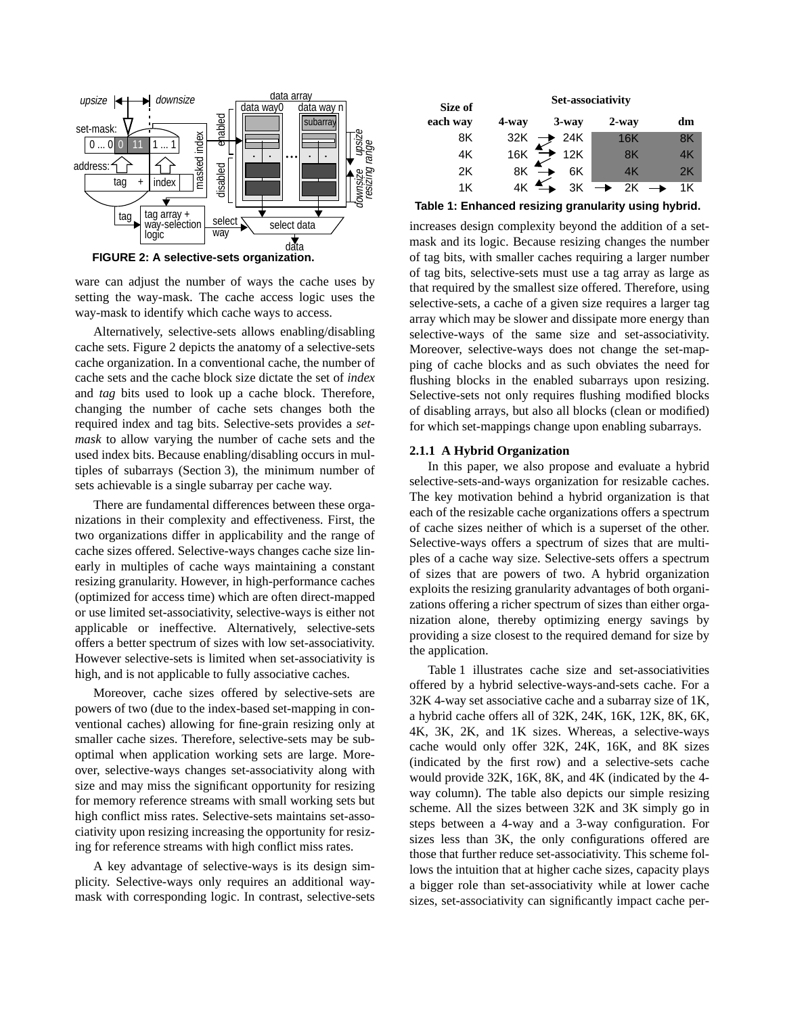

<span id="page-2-0"></span>**FIGURE 2: A selective-sets organization.**

ware can adjust the number of ways the cache uses by setting the way-mask. The cache access logic uses the way-mask to identify which cache ways to access.

Alternatively, selective-sets allows enabling/disabling cache sets. [Figure 2](#page-2-0) depicts the anatomy of a selective-sets cache organization. In a conventional cache, the number of cache sets and the cache block size dictate the set of *index* and *tag* bits used to look up a cache block. Therefore, changing the number of cache sets changes both the required index and tag bits. Selective-sets provides a *setmask* to allow varying the number of cache sets and the used index bits. Because enabling/disabling occurs in multiples of subarrays ([Section 3](#page-3-0)), the minimum number of sets achievable is a single subarray per cache way.

There are fundamental differences between these organizations in their complexity and effectiveness. First, the two organizations differ in applicability and the range of cache sizes offered. Selective-ways changes cache size linearly in multiples of cache ways maintaining a constant resizing granularity. However, in high-performance caches (optimized for access time) which are often direct-mapped or use limited set-associativity, selective-ways is either not applicable or ineffective. Alternatively, selective-sets offers a better spectrum of sizes with low set-associativity. However selective-sets is limited when set-associativity is high, and is not applicable to fully associative caches.

Moreover, cache sizes offered by selective-sets are powers of two (due to the index-based set-mapping in conventional caches) allowing for fine-grain resizing only at smaller cache sizes. Therefore, selective-sets may be suboptimal when application working sets are large. Moreover, selective-ways changes set-associativity along with size and may miss the significant opportunity for resizing for memory reference streams with small working sets but high conflict miss rates. Selective-sets maintains set-associativity upon resizing increasing the opportunity for resizing for reference streams with high conflict miss rates.

A key advantage of selective-ways is its design simplicity. Selective-ways only requires an additional waymask with corresponding logic. In contrast, selective-sets



<span id="page-2-1"></span>**Table 1: Enhanced resizing granularity using hybrid.**

increases design complexity beyond the addition of a setmask and its logic. Because resizing changes the number of tag bits, with smaller caches requiring a larger number of tag bits, selective-sets must use a tag array as large as that required by the smallest size offered. Therefore, using selective-sets, a cache of a given size requires a larger tag array which may be slower and dissipate more energy than selective-ways of the same size and set-associativity. Moreover, selective-ways does not change the set-mapping of cache blocks and as such obviates the need for flushing blocks in the enabled subarrays upon resizing. Selective-sets not only requires flushing modified blocks of disabling arrays, but also all blocks (clean or modified) for which set-mappings change upon enabling subarrays.

# **2.1.1 A Hybrid Organization**

In this paper, we also propose and evaluate a hybrid selective-sets-and-ways organization for resizable caches. The key motivation behind a hybrid organization is that each of the resizable cache organizations offers a spectrum of cache sizes neither of which is a superset of the other. Selective-ways offers a spectrum of sizes that are multiples of a cache way size. Selective-sets offers a spectrum of sizes that are powers of two. A hybrid organization exploits the resizing granularity advantages of both organizations offering a richer spectrum of sizes than either organization alone, thereby optimizing energy savings by providing a size closest to the required demand for size by the application.

[Table 1](#page-2-1) illustrates cache size and set-associativities offered by a hybrid selective-ways-and-sets cache. For a 32K 4-way set associative cache and a subarray size of 1K, a hybrid cache offers all of 32K, 24K, 16K, 12K, 8K, 6K, 4K, 3K, 2K, and 1K sizes. Whereas, a selective-ways cache would only offer 32K, 24K, 16K, and 8K sizes (indicated by the first row) and a selective-sets cache would provide 32K, 16K, 8K, and 4K (indicated by the 4 way column). The table also depicts our simple resizing scheme. All the sizes between 32K and 3K simply go in steps between a 4-way and a 3-way configuration. For sizes less than 3K, the only configurations offered are those that further reduce set-associativity. This scheme follows the intuition that at higher cache sizes, capacity plays a bigger role than set-associativity while at lower cache sizes, set-associativity can significantly impact cache per-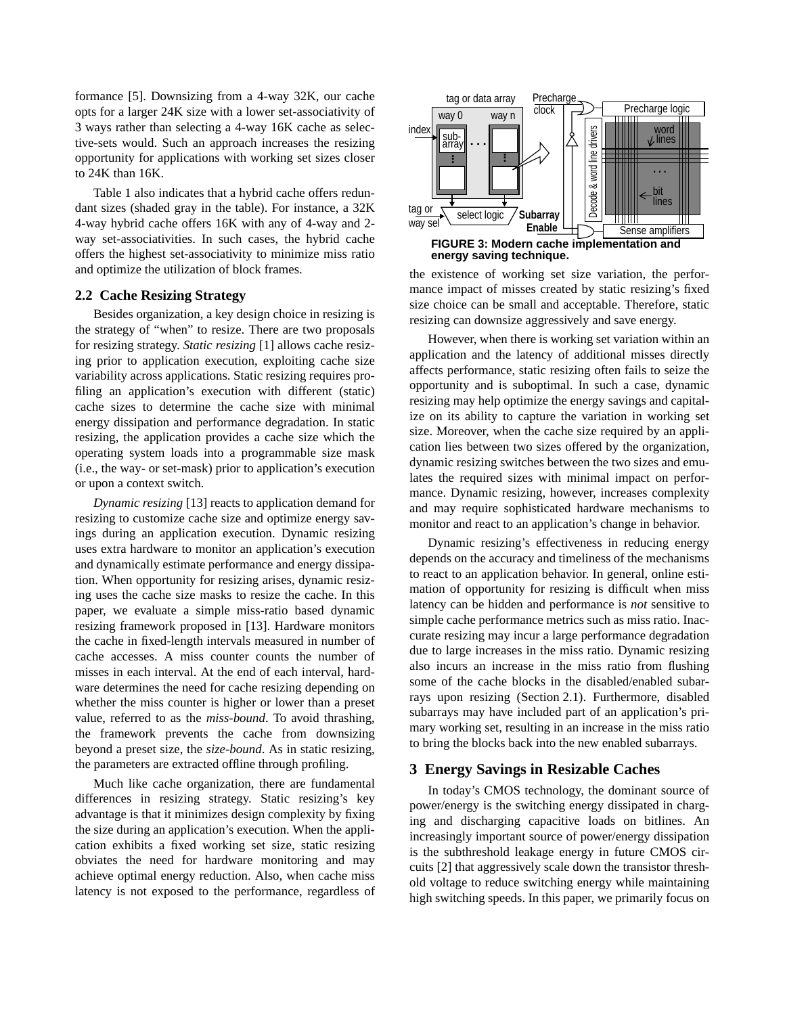formance [5]. Downsizing from a 4-way 32K, our cache opts for a larger 24K size with a lower set-associativity of 3 ways rather than selecting a 4-way 16K cache as selective-sets would. Such an approach increases the resizing opportunity for applications with working set sizes closer to 24K than 16K.

[Table 1](#page-2-1) also indicates that a hybrid cache offers redundant sizes (shaded gray in the table). For instance, a 32K 4-way hybrid cache offers 16K with any of 4-way and 2 way set-associativities. In such cases, the hybrid cache offers the highest set-associativity to minimize miss ratio and optimize the utilization of block frames.

# <span id="page-3-2"></span>**2.2 Cache Resizing Strategy**

Besides organization, a key design choice in resizing is the strategy of "when" to resize. There are two proposals for resizing strategy. *Static resizing* [1] allows cache resizing prior to application execution, exploiting cache size variability across applications. Static resizing requires profiling an application's execution with different (static) cache sizes to determine the cache size with minimal energy dissipation and performance degradation. In static resizing, the application provides a cache size which the operating system loads into a programmable size mask (i.e., the way- or set-mask) prior to application's execution or upon a context switch.

*Dynamic resizing* [13] reacts to application demand for resizing to customize cache size and optimize energy savings during an application execution. Dynamic resizing uses extra hardware to monitor an application's execution and dynamically estimate performance and energy dissipation. When opportunity for resizing arises, dynamic resizing uses the cache size masks to resize the cache. In this paper, we evaluate a simple miss-ratio based dynamic resizing framework proposed in [13]. Hardware monitors the cache in fixed-length intervals measured in number of cache accesses. A miss counter counts the number of misses in each interval. At the end of each interval, hardware determines the need for cache resizing depending on whether the miss counter is higher or lower than a preset value, referred to as the *miss-bound*. To avoid thrashing, the framework prevents the cache from downsizing beyond a preset size, the *size-bound*. As in static resizing, the parameters are extracted offline through profiling.

Much like cache organization, there are fundamental differences in resizing strategy. Static resizing's key advantage is that it minimizes design complexity by fixing the size during an application's execution. When the application exhibits a fixed working set size, static resizing obviates the need for hardware monitoring and may achieve optimal energy reduction. Also, when cache miss latency is not exposed to the performance, regardless of



<span id="page-3-1"></span>the existence of working set size variation, the performance impact of misses created by static resizing's fixed size choice can be small and acceptable. Therefore, static resizing can downsize aggressively and save energy.

However, when there is working set variation within an application and the latency of additional misses directly affects performance, static resizing often fails to seize the opportunity and is suboptimal. In such a case, dynamic resizing may help optimize the energy savings and capitalize on its ability to capture the variation in working set size. Moreover, when the cache size required by an application lies between two sizes offered by the organization, dynamic resizing switches between the two sizes and emulates the required sizes with minimal impact on performance. Dynamic resizing, however, increases complexity and may require sophisticated hardware mechanisms to monitor and react to an application's change in behavior.

Dynamic resizing's effectiveness in reducing energy depends on the accuracy and timeliness of the mechanisms to react to an application behavior. In general, online estimation of opportunity for resizing is difficult when miss latency can be hidden and performance is *not* sensitive to simple cache performance metrics such as miss ratio. Inaccurate resizing may incur a large performance degradation due to large increases in the miss ratio. Dynamic resizing also incurs an increase in the miss ratio from flushing some of the cache blocks in the disabled/enabled subarrays upon resizing ([Section 2.1\)](#page-1-2). Furthermore, disabled subarrays may have included part of an application's primary working set, resulting in an increase in the miss ratio to bring the blocks back into the new enabled subarrays.

# <span id="page-3-0"></span>**3 Energy Savings in Resizable Caches**

In today's CMOS technology, the dominant source of power/energy is the switching energy dissipated in charging and discharging capacitive loads on bitlines. An increasingly important source of power/energy dissipation is the subthreshold leakage energy in future CMOS circuits [2] that aggressively scale down the transistor threshold voltage to reduce switching energy while maintaining high switching speeds. In this paper, we primarily focus on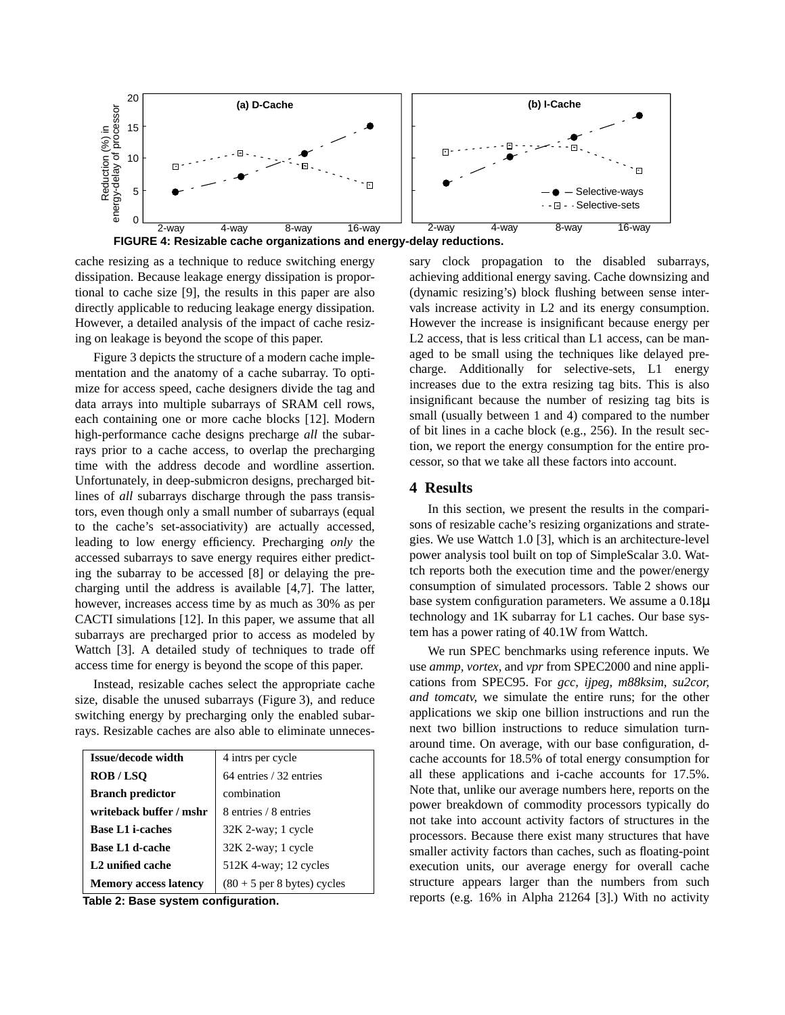

<span id="page-4-1"></span>cache resizing as a technique to reduce switching energy dissipation. Because leakage energy dissipation is proportional to cache size [9], the results in this paper are also directly applicable to reducing leakage energy dissipation. However, a detailed analysis of the impact of cache resizing on leakage is beyond the scope of this paper.

[Figure 3](#page-3-1) depicts the structure of a modern cache implementation and the anatomy of a cache subarray. To optimize for access speed, cache designers divide the tag and data arrays into multiple subarrays of SRAM cell rows, each containing one or more cache blocks [12]. Modern high-performance cache designs precharge *all* the subarrays prior to a cache access, to overlap the precharging time with the address decode and wordline assertion. Unfortunately, in deep-submicron designs, precharged bitlines of *all* subarrays discharge through the pass transistors, even though only a small number of subarrays (equal to the cache's set-associativity) are actually accessed, leading to low energy efficiency. Precharging *only* the accessed subarrays to save energy requires either predicting the subarray to be accessed [8] or delaying the precharging until the address is available [4,7]. The latter, however, increases access time by as much as 30% as per CACTI simulations [12]. In this paper, we assume that all subarrays are precharged prior to access as modeled by Wattch [3]. A detailed study of techniques to trade off access time for energy is beyond the scope of this paper.

Instead, resizable caches select the appropriate cache size, disable the unused subarrays ([Figure 3](#page-3-1)), and reduce switching energy by precharging only the enabled subarrays. Resizable caches are also able to eliminate unneces-

| Issue/decode width           | 4 intrs per cycle             |
|------------------------------|-------------------------------|
| ROB/LSO                      | 64 entries / 32 entries       |
| <b>Branch predictor</b>      | combination                   |
| writeback buffer / mshr      | 8 entries / 8 entries         |
| <b>Base L1 i-caches</b>      | $32K$ 2-way; 1 cycle          |
| <b>Base L1 d-cache</b>       | 32K 2-way; 1 cycle            |
| L <sub>2</sub> unified cache | $512K$ 4-way; 12 cycles       |
| <b>Memory access latency</b> | $(80 + 5$ per 8 bytes) cycles |

**Table 2: Base system configuration.**

sary clock propagation to the disabled subarrays, achieving additional energy saving. Cache downsizing and (dynamic resizing's) block flushing between sense intervals increase activity in L2 and its energy consumption. However the increase is insignificant because energy per L2 access, that is less critical than L1 access, can be managed to be small using the techniques like delayed precharge. Additionally for selective-sets, L1 energy increases due to the extra resizing tag bits. This is also insignificant because the number of resizing tag bits is small (usually between 1 and 4) compared to the number of bit lines in a cache block (e.g., 256). In the result section, we report the energy consumption for the entire processor, so that we take all these factors into account.

#### <span id="page-4-0"></span>**4 Results**

In this section, we present the results in the comparisons of resizable cache's resizing organizations and strategies. We use Wattch 1.0 [3], which is an architecture-level power analysis tool built on top of SimpleScalar 3.0. Wattch reports both the execution time and the power/energy consumption of simulated processors. Table 2 shows our base system configuration parameters. We assume a 0.18µ technology and 1K subarray for L1 caches. Our base system has a power rating of 40.1W from Wattch.

We run SPEC benchmarks using reference inputs. We use *ammp, vortex,* and *vpr* from SPEC2000 and nine applications from SPEC95. For *gcc, ijpeg, m88ksim, su2cor, and tomcatv,* we simulate the entire runs; for the other applications we skip one billion instructions and run the next two billion instructions to reduce simulation turnaround time. On average, with our base configuration, dcache accounts for 18.5% of total energy consumption for all these applications and i-cache accounts for 17.5%. Note that, unlike our average numbers here, reports on the power breakdown of commodity processors typically do not take into account activity factors of structures in the processors. Because there exist many structures that have smaller activity factors than caches, such as floating-point execution units, our average energy for overall cache structure appears larger than the numbers from such reports (e.g. 16% in Alpha 21264 [3].) With no activity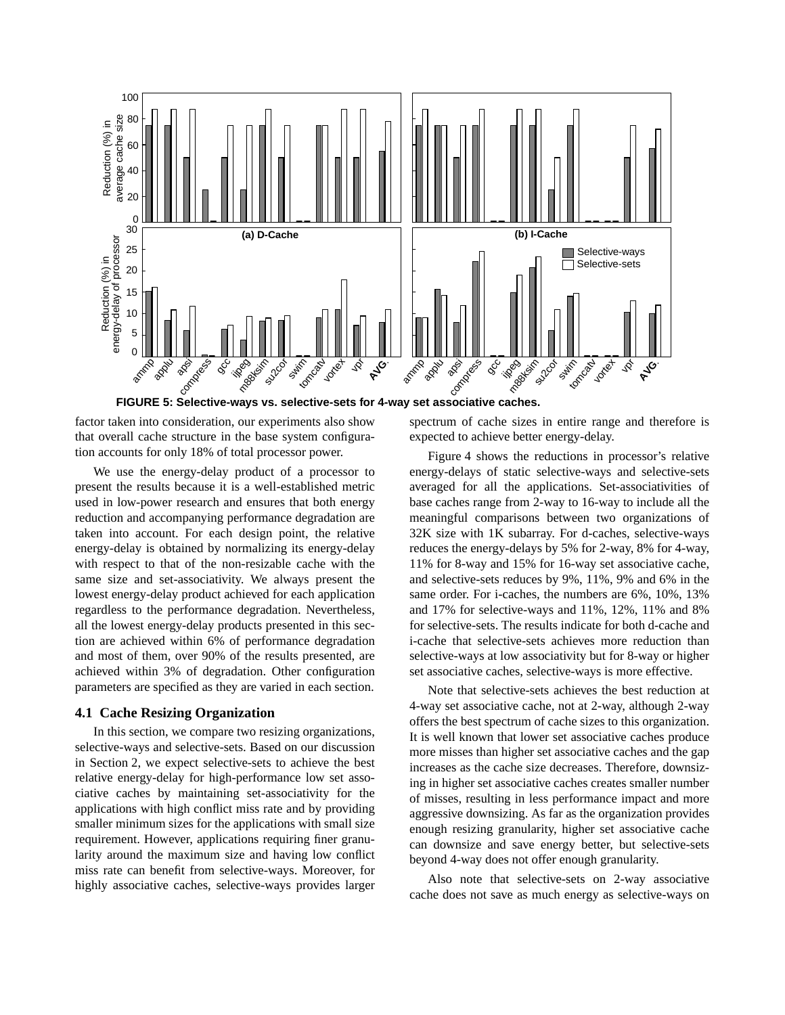

<span id="page-5-0"></span>factor taken into consideration, our experiments also show that overall cache structure in the base system configuration accounts for only 18% of total processor power.

We use the energy-delay product of a processor to present the results because it is a well-established metric used in low-power research and ensures that both energy reduction and accompanying performance degradation are taken into account. For each design point, the relative energy-delay is obtained by normalizing its energy-delay with respect to that of the non-resizable cache with the same size and set-associativity. We always present the lowest energy-delay product achieved for each application regardless to the performance degradation. Nevertheless, all the lowest energy-delay products presented in this section are achieved within 6% of performance degradation and most of them, over 90% of the results presented, are achieved within 3% of degradation. Other configuration parameters are specified as they are varied in each section.

### **4.1 Cache Resizing Organization**

In this section, we compare two resizing organizations, selective-ways and selective-sets. Based on our discussion in [Section 2](#page-1-0), we expect selective-sets to achieve the best relative energy-delay for high-performance low set associative caches by maintaining set-associativity for the applications with high conflict miss rate and by providing smaller minimum sizes for the applications with small size requirement. However, applications requiring finer granularity around the maximum size and having low conflict miss rate can benefit from selective-ways. Moreover, for highly associative caches, selective-ways provides larger

spectrum of cache sizes in entire range and therefore is expected to achieve better energy-delay.

[Figure 4](#page-4-1) shows the reductions in processor's relative energy-delays of static selective-ways and selective-sets averaged for all the applications. Set-associativities of base caches range from 2-way to 16-way to include all the meaningful comparisons between two organizations of 32K size with 1K subarray. For d-caches, selective-ways reduces the energy-delays by 5% for 2-way, 8% for 4-way, 11% for 8-way and 15% for 16-way set associative cache, and selective-sets reduces by 9%, 11%, 9% and 6% in the same order. For i-caches, the numbers are 6%, 10%, 13% and 17% for selective-ways and 11%, 12%, 11% and 8% for selective-sets. The results indicate for both d-cache and i-cache that selective-sets achieves more reduction than selective-ways at low associativity but for 8-way or higher set associative caches, selective-ways is more effective.

Note that selective-sets achieves the best reduction at 4-way set associative cache, not at 2-way, although 2-way offers the best spectrum of cache sizes to this organization. It is well known that lower set associative caches produce more misses than higher set associative caches and the gap increases as the cache size decreases. Therefore, downsizing in higher set associative caches creates smaller number of misses, resulting in less performance impact and more aggressive downsizing. As far as the organization provides enough resizing granularity, higher set associative cache can downsize and save energy better, but selective-sets beyond 4-way does not offer enough granularity.

Also note that selective-sets on 2-way associative cache does not save as much energy as selective-ways on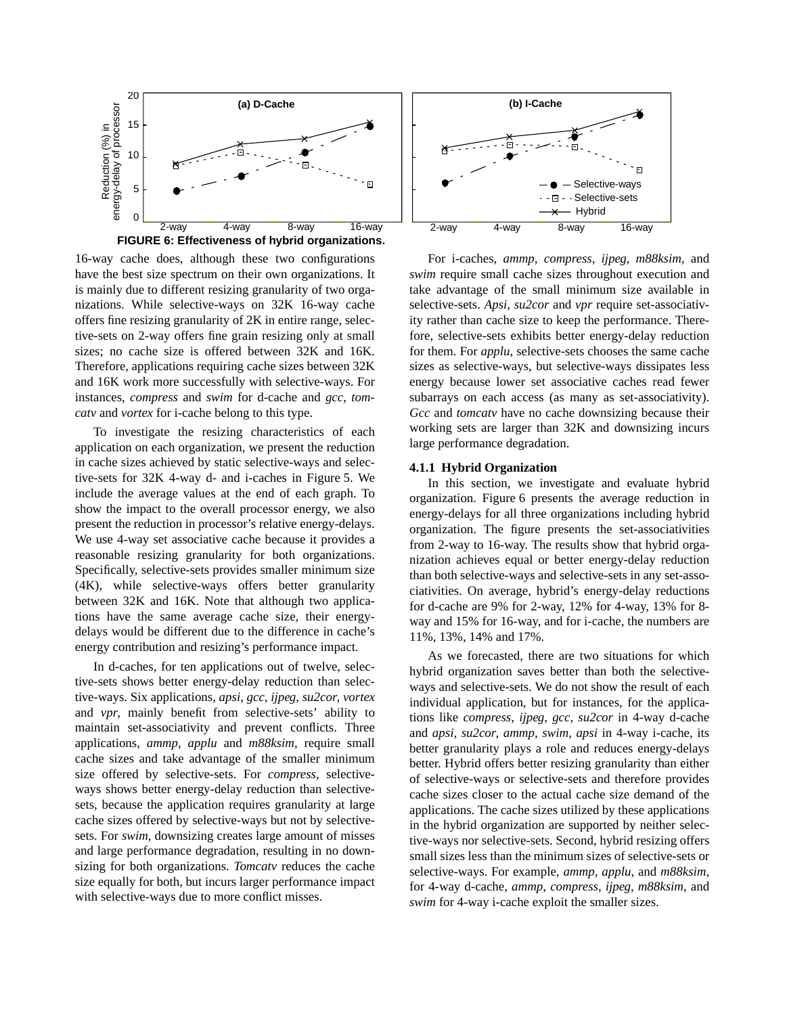

<span id="page-6-0"></span>16-way cache does, although these two configurations have the best size spectrum on their own organizations. It is mainly due to different resizing granularity of two organizations. While selective-ways on 32K 16-way cache offers fine resizing granularity of 2K in entire range, selective-sets on 2-way offers fine grain resizing only at small sizes; no cache size is offered between 32K and 16K. Therefore, applications requiring cache sizes between 32K and 16K work more successfully with selective-ways. For instances, *compress* and *swim* for d-cache and *gcc*, *tomcatv* and *vortex* for i-cache belong to this type.

To investigate the resizing characteristics of each application on each organization, we present the reduction in cache sizes achieved by static selective-ways and selective-sets for 32K 4-way d- and i-caches in [Figure 5](#page-5-0). We include the average values at the end of each graph. To show the impact to the overall processor energy, we also present the reduction in processor's relative energy-delays. We use 4-way set associative cache because it provides a reasonable resizing granularity for both organizations. Specifically, selective-sets provides smaller minimum size (4K), while selective-ways offers better granularity between 32K and 16K. Note that although two applications have the same average cache size, their energydelays would be different due to the difference in cache's energy contribution and resizing's performance impact.

In d-caches, for ten applications out of twelve, selective-sets shows better energy-delay reduction than selective-ways. Six applications, *apsi*, *gcc*, *ijpeg*, *su2cor*, *vortex* and *vpr*, mainly benefit from selective-sets' ability to maintain set-associativity and prevent conflicts. Three applications, *ammp*, *applu* and *m88ksim*, require small cache sizes and take advantage of the smaller minimum size offered by selective-sets. For *compress*, selectiveways shows better energy-delay reduction than selectivesets, because the application requires granularity at large cache sizes offered by selective-ways but not by selectivesets. For *swim*, downsizing creates large amount of misses and large performance degradation, resulting in no downsizing for both organizations. *Tomcatv* reduces the cache size equally for both, but incurs larger performance impact with selective-ways due to more conflict misses.



For i-caches, *ammp*, *compress, ijpeg, m88ksim,* and *swim* require small cache sizes throughout execution and take advantage of the small minimum size available in selective-sets. *Apsi, su2cor* and *vpr* require set-associativity rather than cache size to keep the performance. Therefore, selective-sets exhibits better energy-delay reduction for them. For *applu*, selective-sets chooses the same cache sizes as selective-ways, but selective-ways dissipates less energy because lower set associative caches read fewer subarrays on each access (as many as set-associativity). *Gcc* and *tomcatv* have no cache downsizing because their working sets are larger than 32K and downsizing incurs large performance degradation.

#### **4.1.1 Hybrid Organization**

In this section, we investigate and evaluate hybrid organization. [Figure 6](#page-6-0) presents the average reduction in energy-delays for all three organizations including hybrid organization. The figure presents the set-associativities from 2-way to 16-way. The results show that hybrid organization achieves equal or better energy-delay reduction than both selective-ways and selective-sets in any set-associativities. On average, hybrid's energy-delay reductions for d-cache are 9% for 2-way, 12% for 4-way, 13% for 8 way and 15% for 16-way, and for i-cache, the numbers are 11%, 13%, 14% and 17%.

As we forecasted, there are two situations for which hybrid organization saves better than both the selectiveways and selective-sets. We do not show the result of each individual application, but for instances, for the applications like *compress*, *ijpeg*, *gcc*, *su2cor* in 4-way d-cache and *apsi*, *su2cor*, *ammp*, *swim*, *apsi* in 4-way i-cache, its better granularity plays a role and reduces energy-delays better. Hybrid offers better resizing granularity than either of selective-ways or selective-sets and therefore provides cache sizes closer to the actual cache size demand of the applications. The cache sizes utilized by these applications in the hybrid organization are supported by neither selective-ways nor selective-sets. Second, hybrid resizing offers small sizes less than the minimum sizes of selective-sets or selective-ways. For example, *ammp*, *applu*, and *m88ksim*, for 4-way d-cache, *ammp*, *compress*, *ijpeg*, *m88ksim*, and *swim* for 4-way i-cache exploit the smaller sizes.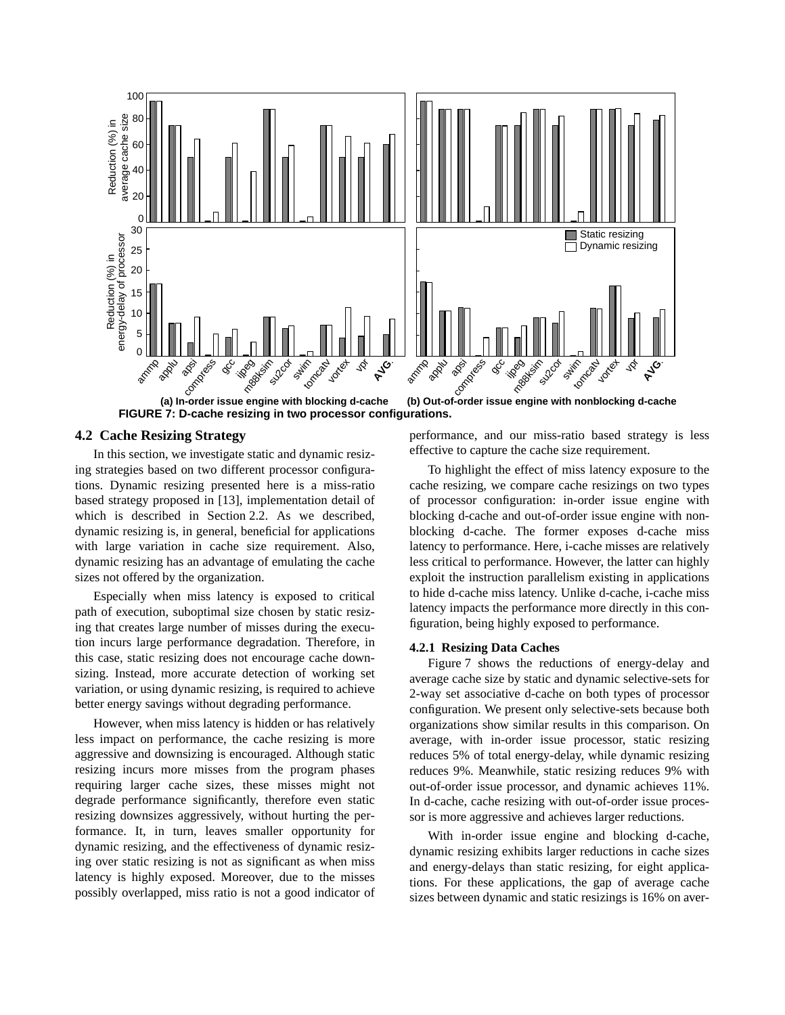

<span id="page-7-0"></span>**FIGURE 7: D-cache resizing in two processor configurations. (a) In-order issue engine with blocking d-cache (b) Out-of-order issue engine with nonblocking d-cache**

#### **4.2 Cache Resizing Strategy**

In this section, we investigate static and dynamic resizing strategies based on two different processor configurations. Dynamic resizing presented here is a miss-ratio based strategy proposed in [13], implementation detail of which is described in [Section 2.2.](#page-3-2) As we described, dynamic resizing is, in general, beneficial for applications with large variation in cache size requirement. Also, dynamic resizing has an advantage of emulating the cache sizes not offered by the organization.

Especially when miss latency is exposed to critical path of execution, suboptimal size chosen by static resizing that creates large number of misses during the execution incurs large performance degradation. Therefore, in this case, static resizing does not encourage cache downsizing. Instead, more accurate detection of working set variation, or using dynamic resizing, is required to achieve better energy savings without degrading performance.

However, when miss latency is hidden or has relatively less impact on performance, the cache resizing is more aggressive and downsizing is encouraged. Although static resizing incurs more misses from the program phases requiring larger cache sizes, these misses might not degrade performance significantly, therefore even static resizing downsizes aggressively, without hurting the performance. It, in turn, leaves smaller opportunity for dynamic resizing, and the effectiveness of dynamic resizing over static resizing is not as significant as when miss latency is highly exposed. Moreover, due to the misses possibly overlapped, miss ratio is not a good indicator of performance, and our miss-ratio based strategy is less effective to capture the cache size requirement.

To highlight the effect of miss latency exposure to the cache resizing, we compare cache resizings on two types of processor configuration: in-order issue engine with blocking d-cache and out-of-order issue engine with nonblocking d-cache. The former exposes d-cache miss latency to performance. Here, i-cache misses are relatively less critical to performance. However, the latter can highly exploit the instruction parallelism existing in applications to hide d-cache miss latency. Unlike d-cache, i-cache miss latency impacts the performance more directly in this configuration, being highly exposed to performance.

#### **4.2.1 Resizing Data Caches**

[Figure 7](#page-7-0) shows the reductions of energy-delay and average cache size by static and dynamic selective-sets for 2-way set associative d-cache on both types of processor configuration. We present only selective-sets because both organizations show similar results in this comparison. On average, with in-order issue processor, static resizing reduces 5% of total energy-delay, while dynamic resizing reduces 9%. Meanwhile, static resizing reduces 9% with out-of-order issue processor, and dynamic achieves 11%. In d-cache, cache resizing with out-of-order issue processor is more aggressive and achieves larger reductions.

With in-order issue engine and blocking d-cache, dynamic resizing exhibits larger reductions in cache sizes and energy-delays than static resizing, for eight applications. For these applications, the gap of average cache sizes between dynamic and static resizings is 16% on aver-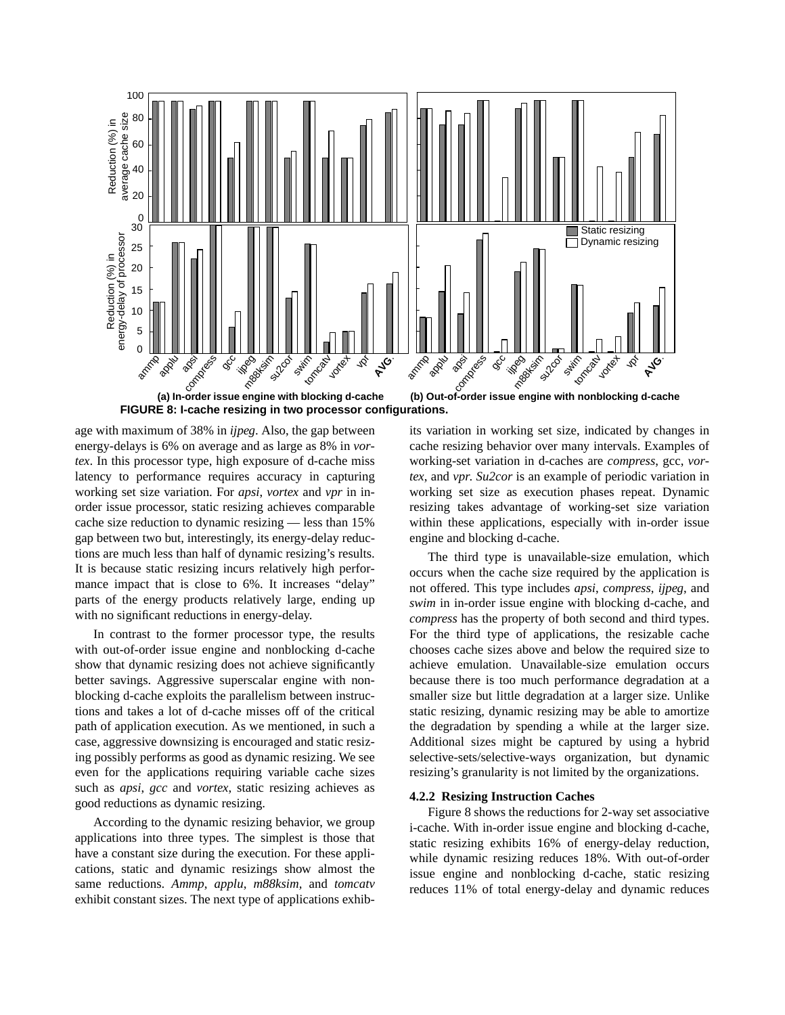

<span id="page-8-0"></span>age with maximum of 38% in *ijpeg*. Also, the gap between energy-delays is 6% on average and as large as 8% in *vortex*. In this processor type, high exposure of d-cache miss latency to performance requires accuracy in capturing working set size variation. For *apsi*, *vortex* and *vpr* in inorder issue processor, static resizing achieves comparable cache size reduction to dynamic resizing — less than 15% gap between two but, interestingly, its energy-delay reductions are much less than half of dynamic resizing's results. It is because static resizing incurs relatively high performance impact that is close to 6%. It increases "delay" parts of the energy products relatively large, ending up with no significant reductions in energy-delay.

In contrast to the former processor type, the results with out-of-order issue engine and nonblocking d-cache show that dynamic resizing does not achieve significantly better savings. Aggressive superscalar engine with nonblocking d-cache exploits the parallelism between instructions and takes a lot of d-cache misses off of the critical path of application execution. As we mentioned, in such a case, aggressive downsizing is encouraged and static resizing possibly performs as good as dynamic resizing. We see even for the applications requiring variable cache sizes such as *apsi*, *gcc* and *vortex*, static resizing achieves as good reductions as dynamic resizing.

According to the dynamic resizing behavior, we group applications into three types. The simplest is those that have a constant size during the execution. For these applications, static and dynamic resizings show almost the same reductions. *Ammp*, *applu*, *m88ksim,* and *tomcatv* exhibit constant sizes. The next type of applications exhib-

its variation in working set size, indicated by changes in cache resizing behavior over many intervals. Examples of working-set variation in d-caches are *compress*, gcc, *vortex*, and *vpr*. *Su2cor* is an example of periodic variation in working set size as execution phases repeat. Dynamic resizing takes advantage of working-set size variation within these applications, especially with in-order issue engine and blocking d-cache.

The third type is unavailable-size emulation, which occurs when the cache size required by the application is not offered. This type includes *apsi*, *compress*, *ijpeg*, and *swim* in in-order issue engine with blocking d-cache, and *compress* has the property of both second and third types. For the third type of applications, the resizable cache chooses cache sizes above and below the required size to achieve emulation. Unavailable-size emulation occurs because there is too much performance degradation at a smaller size but little degradation at a larger size. Unlike static resizing, dynamic resizing may be able to amortize the degradation by spending a while at the larger size. Additional sizes might be captured by using a hybrid selective-sets/selective-ways organization, but dynamic resizing's granularity is not limited by the organizations.

#### **4.2.2 Resizing Instruction Caches**

[Figure 8](#page-8-0) shows the reductions for 2-way set associative i-cache. With in-order issue engine and blocking d-cache, static resizing exhibits 16% of energy-delay reduction, while dynamic resizing reduces 18%. With out-of-order issue engine and nonblocking d-cache, static resizing reduces 11% of total energy-delay and dynamic reduces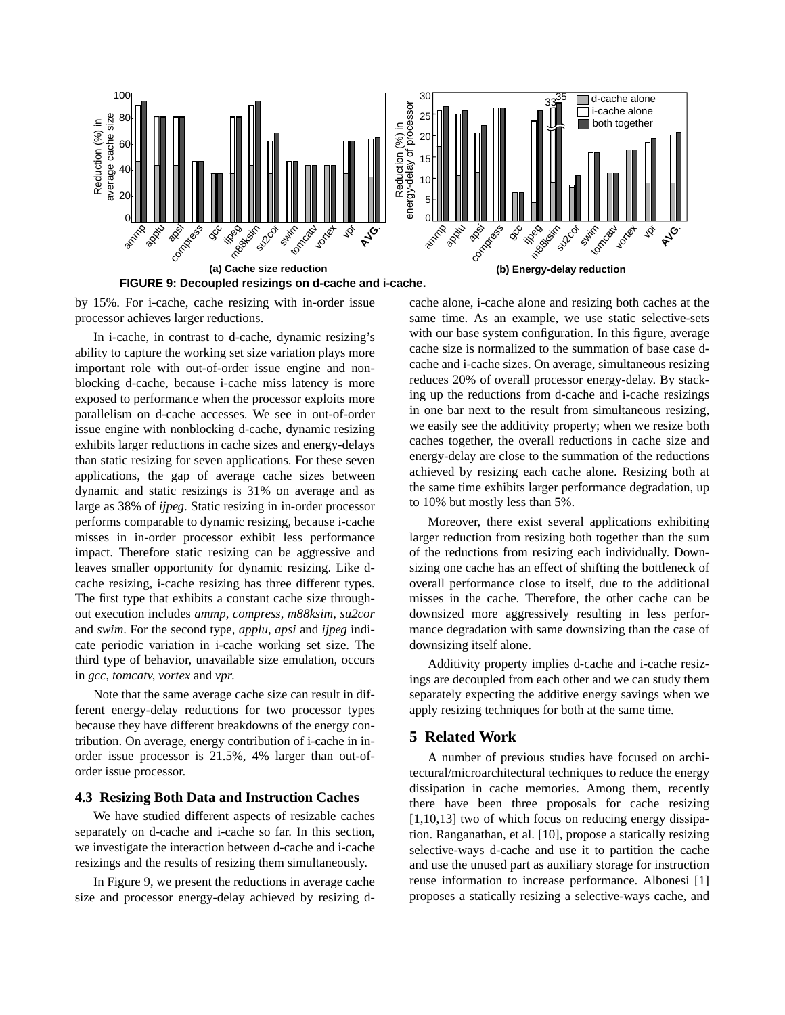

<span id="page-9-1"></span>by 15%. For i-cache, cache resizing with in-order issue processor achieves larger reductions.

In i-cache, in contrast to d-cache, dynamic resizing's ability to capture the working set size variation plays more important role with out-of-order issue engine and nonblocking d-cache, because i-cache miss latency is more exposed to performance when the processor exploits more parallelism on d-cache accesses. We see in out-of-order issue engine with nonblocking d-cache, dynamic resizing exhibits larger reductions in cache sizes and energy-delays than static resizing for seven applications. For these seven applications, the gap of average cache sizes between dynamic and static resizings is 31% on average and as large as 38% of *ijpeg*. Static resizing in in-order processor performs comparable to dynamic resizing, because i-cache misses in in-order processor exhibit less performance impact. Therefore static resizing can be aggressive and leaves smaller opportunity for dynamic resizing. Like dcache resizing, i-cache resizing has three different types. The first type that exhibits a constant cache size throughout execution includes *ammp*, *compress*, *m88ksim*, *su2cor* and *swim*. For the second type, *applu*, *apsi* and *ijpeg* indicate periodic variation in i-cache working set size. The third type of behavior, unavailable size emulation, occurs in *gcc*, *tomcatv*, *vortex* and *vpr*.

Note that the same average cache size can result in different energy-delay reductions for two processor types because they have different breakdowns of the energy contribution. On average, energy contribution of i-cache in inorder issue processor is 21.5%, 4% larger than out-oforder issue processor.

### **4.3 Resizing Both Data and Instruction Caches**

We have studied different aspects of resizable caches separately on d-cache and i-cache so far. In this section, we investigate the interaction between d-cache and i-cache resizings and the results of resizing them simultaneously.

In [Figure 9](#page-9-1), we present the reductions in average cache size and processor energy-delay achieved by resizing d-

cache alone, i-cache alone and resizing both caches at the same time. As an example, we use static selective-sets with our base system configuration. In this figure, average cache size is normalized to the summation of base case dcache and i-cache sizes. On average, simultaneous resizing reduces 20% of overall processor energy-delay. By stacking up the reductions from d-cache and i-cache resizings in one bar next to the result from simultaneous resizing, we easily see the additivity property; when we resize both caches together, the overall reductions in cache size and energy-delay are close to the summation of the reductions achieved by resizing each cache alone. Resizing both at the same time exhibits larger performance degradation, up to 10% but mostly less than 5%.

Moreover, there exist several applications exhibiting larger reduction from resizing both together than the sum of the reductions from resizing each individually. Downsizing one cache has an effect of shifting the bottleneck of overall performance close to itself, due to the additional misses in the cache. Therefore, the other cache can be downsized more aggressively resulting in less performance degradation with same downsizing than the case of downsizing itself alone.

Additivity property implies d-cache and i-cache resizings are decoupled from each other and we can study them separately expecting the additive energy savings when we apply resizing techniques for both at the same time.

# <span id="page-9-0"></span>**5 Related Work**

A number of previous studies have focused on architectural/microarchitectural techniques to reduce the energy dissipation in cache memories. Among them, recently there have been three proposals for cache resizing  $[1,10,13]$  two of which focus on reducing energy dissipation. Ranganathan, et al. [10], propose a statically resizing selective-ways d-cache and use it to partition the cache and use the unused part as auxiliary storage for instruction reuse information to increase performance. Albonesi [1] proposes a statically resizing a selective-ways cache, and